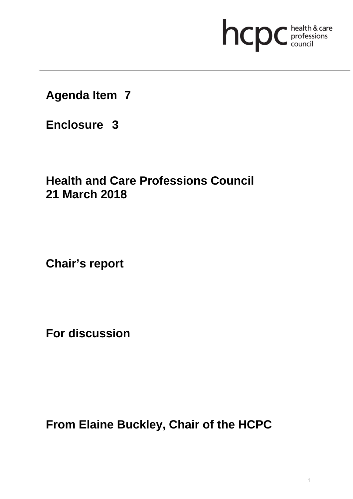# hcpc health & care

**Agenda Item 7**

**Enclosure 3**

### **Health and Care Professions Council 21 March 2018**

**Chair's report** 

**For discussion** 

**From Elaine Buckley, Chair of the HCPC**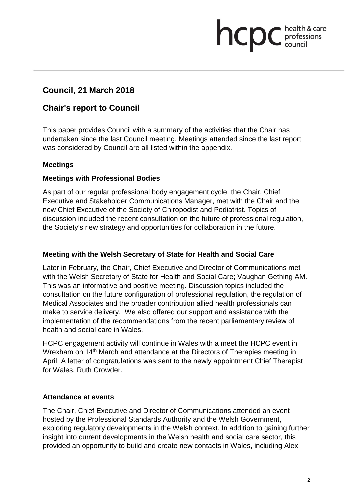## hcp professions<br>council

#### **Council, 21 March 2018**

#### **Chair's report to Council**

This paper provides Council with a summary of the activities that the Chair has undertaken since the last Council meeting. Meetings attended since the last report was considered by Council are all listed within the appendix.

#### **Meetings**

#### **Meetings with Professional Bodies**

As part of our regular professional body engagement cycle, the Chair, Chief Executive and Stakeholder Communications Manager, met with the Chair and the new Chief Executive of the Society of Chiropodist and Podiatrist. Topics of discussion included the recent consultation on the future of professional regulation, the Society's new strategy and opportunities for collaboration in the future.

#### **Meeting with the Welsh Secretary of State for Health and Social Care**

Later in February, the Chair, Chief Executive and Director of Communications met with the Welsh Secretary of State for Health and Social Care; Vaughan Gething AM. This was an informative and positive meeting. Discussion topics included the consultation on the future configuration of professional regulation, the regulation of Medical Associates and the broader contribution allied health professionals can make to service delivery. We also offered our support and assistance with the implementation of the recommendations from the recent parliamentary review of health and social care in Wales.

HCPC engagement activity will continue in Wales with a meet the HCPC event in Wrexham on 14<sup>th</sup> March and attendance at the Directors of Therapies meeting in April. A letter of congratulations was sent to the newly appointment Chief Therapist for Wales, Ruth Crowder.

#### **Attendance at events**

The Chair, Chief Executive and Director of Communications attended an event hosted by the Professional Standards Authority and the Welsh Government, exploring regulatory developments in the Welsh context. In addition to gaining further insight into current developments in the Welsh health and social care sector, this provided an opportunity to build and create new contacts in Wales, including Alex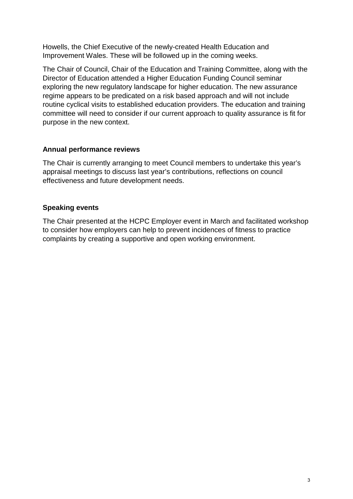Howells, the Chief Executive of the newly-created Health Education and Improvement Wales. These will be followed up in the coming weeks.

The Chair of Council, Chair of the Education and Training Committee, along with the Director of Education attended a Higher Education Funding Council seminar exploring the new regulatory landscape for higher education. The new assurance regime appears to be predicated on a risk based approach and will not include routine cyclical visits to established education providers. The education and training committee will need to consider if our current approach to quality assurance is fit for purpose in the new context.

#### **Annual performance reviews**

The Chair is currently arranging to meet Council members to undertake this year's appraisal meetings to discuss last year's contributions, reflections on council effectiveness and future development needs.

#### **Speaking events**

The Chair presented at the HCPC Employer event in March and facilitated workshop to consider how employers can help to prevent incidences of fitness to practice complaints by creating a supportive and open working environment.